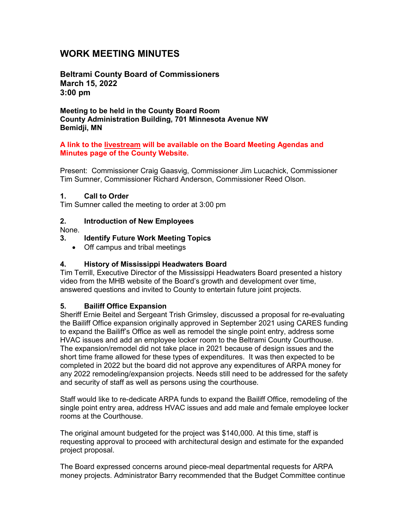# **WORK MEETING MINUTES**

**Beltrami County Board of Commissioners March 15, 2022 3:00 pm**

**Meeting to be held in the County Board Room County Administration Building, 701 Minnesota Avenue NW Bemidji, MN**

#### **A link to the livestream will be available on the Board Meeting Agendas and Minutes page of the County Website.**

Present: Commissioner Craig Gaasvig, Commissioner Jim Lucachick, Commissioner Tim Sumner, Commissioner Richard Anderson, Commissioner Reed Olson.

#### **1. Call to Order**

Tim Sumner called the meeting to order at 3:00 pm

### **2. Introduction of New Employees**

None.

### **3. Identify Future Work Meeting Topics**

• Off campus and tribal meetings

#### **4. History of Mississippi Headwaters Board**

Tim Terrill, Executive Director of the Mississippi Headwaters Board presented a history video from the MHB website of the Board's growth and development over time, answered questions and invited to County to entertain future joint projects.

### **5. Bailiff Office Expansion**

Sheriff Ernie Beitel and Sergeant Trish Grimsley, discussed a proposal for re-evaluating the Bailiff Office expansion originally approved in September 2021 using CARES funding to expand the Bailiff's Office as well as remodel the single point entry, address some HVAC issues and add an employee locker room to the Beltrami County Courthouse. The expansion/remodel did not take place in 2021 because of design issues and the short time frame allowed for these types of expenditures. It was then expected to be completed in 2022 but the board did not approve any expenditures of ARPA money for any 2022 remodeling/expansion projects. Needs still need to be addressed for the safety and security of staff as well as persons using the courthouse.

Staff would like to re-dedicate ARPA funds to expand the Bailiff Office, remodeling of the single point entry area, address HVAC issues and add male and female employee locker rooms at the Courthouse.

The original amount budgeted for the project was \$140,000. At this time, staff is requesting approval to proceed with architectural design and estimate for the expanded project proposal.

The Board expressed concerns around piece-meal departmental requests for ARPA money projects. Administrator Barry recommended that the Budget Committee continue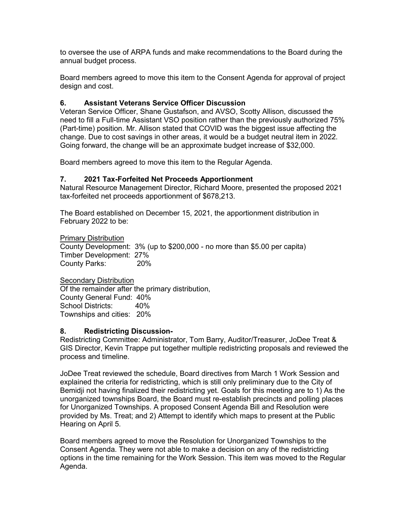to oversee the use of ARPA funds and make recommendations to the Board during the annual budget process.

Board members agreed to move this item to the Consent Agenda for approval of project design and cost.

# **6. Assistant Veterans Service Officer Discussion**

Veteran Service Officer, Shane Gustafson, and AVSO, Scotty Allison, discussed the need to fill a Full-time Assistant VSO position rather than the previously authorized 75% (Part-time) position. Mr. Allison stated that COVID was the biggest issue affecting the change. Due to cost savings in other areas, it would be a budget neutral item in 2022. Going forward, the change will be an approximate budget increase of \$32,000.

Board members agreed to move this item to the Regular Agenda.

## **7. 2021 Tax-Forfeited Net Proceeds Apportionment**

Natural Resource Management Director, Richard Moore, presented the proposed 2021 tax-forfeited net proceeds apportionment of \$678,213.

The Board established on December 15, 2021, the apportionment distribution in February 2022 to be:

Primary Distribution County Development: 3% (up to \$200,000 - no more than \$5.00 per capita) Timber Development: 27% County Parks: 20%

**Secondary Distribution** Of the remainder after the primary distribution, County General Fund: 40% School Districts: 40% Townships and cities: 20%

### **8. Redistricting Discussion-**

Redistricting Committee: Administrator, Tom Barry, Auditor/Treasurer, JoDee Treat & GIS Director, Kevin Trappe put together multiple redistricting proposals and reviewed the process and timeline.

JoDee Treat reviewed the schedule, Board directives from March 1 Work Session and explained the criteria for redistricting, which is still only preliminary due to the City of Bemidji not having finalized their redistricting yet. Goals for this meeting are to 1) As the unorganized townships Board, the Board must re-establish precincts and polling places for Unorganized Townships. A proposed Consent Agenda Bill and Resolution were provided by Ms. Treat; and 2) Attempt to identify which maps to present at the Public Hearing on April 5.

Board members agreed to move the Resolution for Unorganized Townships to the Consent Agenda. They were not able to make a decision on any of the redistricting options in the time remaining for the Work Session. This item was moved to the Regular Agenda.